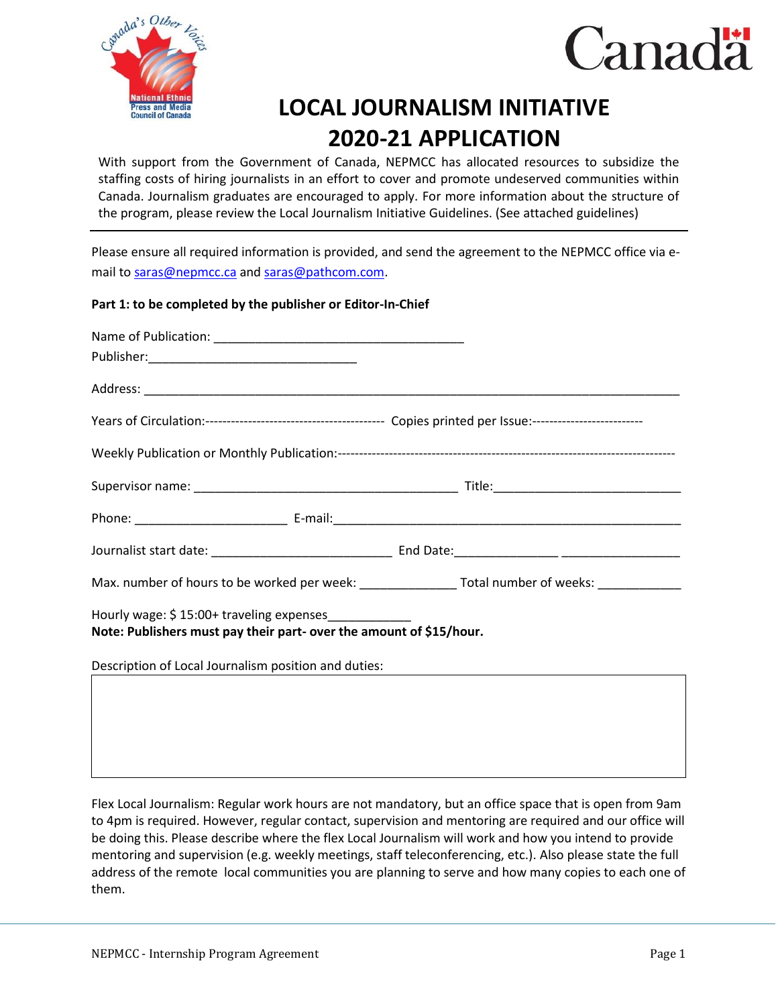



## **LOCAL JOURNALISM INITIATIVE 2020-21 APPLICATION**

With support from the Government of Canada, NEPMCC has allocated resources to subsidize the staffing costs of hiring journalists in an effort to cover and promote undeserved communities within Canada. Journalism graduates are encouraged to apply. For more information about the structure of the program, please review the Local Journalism Initiative Guidelines. (See attached guidelines)

Please ensure all required information is provided, and send the agreement to the NEPMCC office via email t[o saras@nepmcc.ca](mailto:saras@nepmcc.ca) and [saras@pathcom.com.](mailto:saras@pathcom.com)

## **Part 1: to be completed by the publisher or Editor-In-Chief**

|                                                                                                                              | Max. number of hours to be worked per week: ________________________Total number of weeks: _______________ |
|------------------------------------------------------------------------------------------------------------------------------|------------------------------------------------------------------------------------------------------------|
| Hourly wage: \$15:00+ traveling expenses_____________<br>Note: Publishers must pay their part- over the amount of \$15/hour. |                                                                                                            |
| Description of Local Journalism position and duties:                                                                         |                                                                                                            |

Flex Local Journalism: Regular work hours are not mandatory, but an office space that is open from 9am to 4pm is required. However, regular contact, supervision and mentoring are required and our office will be doing this. Please describe where the flex Local Journalism will work and how you intend to provide mentoring and supervision (e.g. weekly meetings, staff teleconferencing, etc.). Also please state the full address of the remote local communities you are planning to serve and how many copies to each one of them.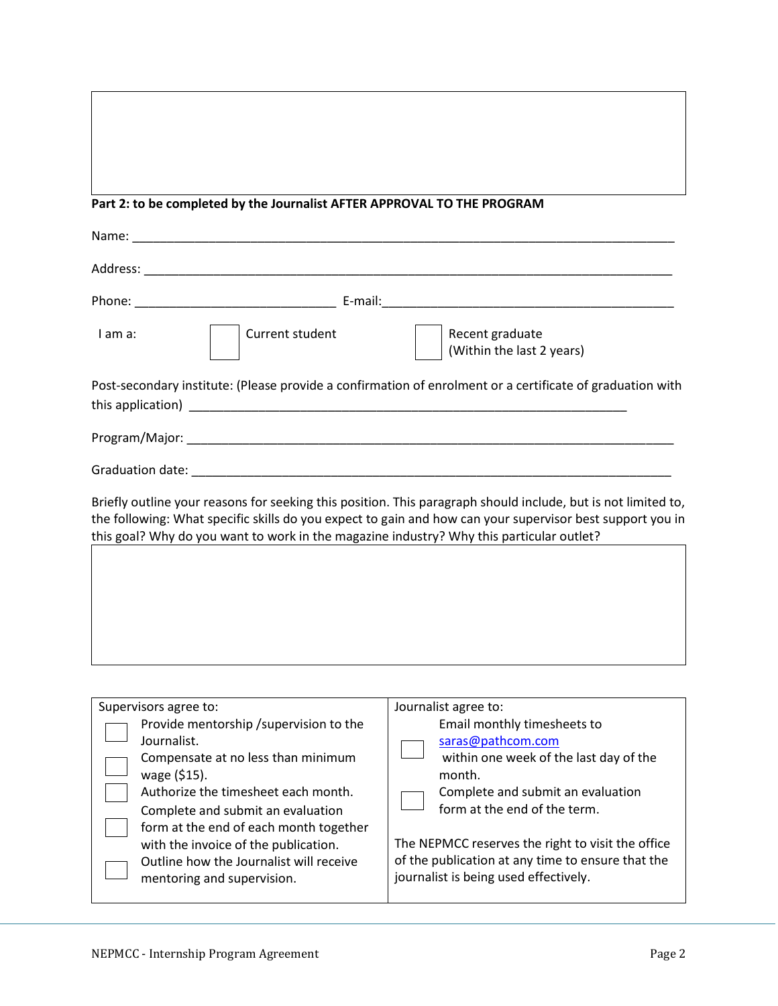## **Part 2: to be completed by the Journalist AFTER APPROVAL TO THE PROGRAM**

| Post-secondary institute: (Please provide a confirmation of enrolment or a certificate of graduation with                                                                                                                                                                                                              |  |  |
|------------------------------------------------------------------------------------------------------------------------------------------------------------------------------------------------------------------------------------------------------------------------------------------------------------------------|--|--|
|                                                                                                                                                                                                                                                                                                                        |  |  |
|                                                                                                                                                                                                                                                                                                                        |  |  |
| Briefly outline your reasons for seeking this position. This paragraph should include, but is not limited to,<br>the following: What specific skills do you expect to gain and how can your supervisor best support you in<br>this goal? Why do you want to work in the magazine industry? Why this particular outlet? |  |  |
|                                                                                                                                                                                                                                                                                                                        |  |  |
|                                                                                                                                                                                                                                                                                                                        |  |  |
|                                                                                                                                                                                                                                                                                                                        |  |  |
|                                                                                                                                                                                                                                                                                                                        |  |  |
|                                                                                                                                                                                                                                                                                                                        |  |  |

| Supervisors agree to:                   | Journalist agree to:                              |  |
|-----------------------------------------|---------------------------------------------------|--|
| Provide mentorship / supervision to the | Email monthly timesheets to                       |  |
| Journalist.                             | saras@pathcom.com                                 |  |
| Compensate at no less than minimum      | within one week of the last day of the            |  |
| wage (\$15).                            | month.                                            |  |
| Authorize the timesheet each month.     | Complete and submit an evaluation                 |  |
| Complete and submit an evaluation       | form at the end of the term.                      |  |
| form at the end of each month together  |                                                   |  |
| with the invoice of the publication.    | The NEPMCC reserves the right to visit the office |  |
| Outline how the Journalist will receive | of the publication at any time to ensure that the |  |
| mentoring and supervision.              | journalist is being used effectively.             |  |
|                                         |                                                   |  |